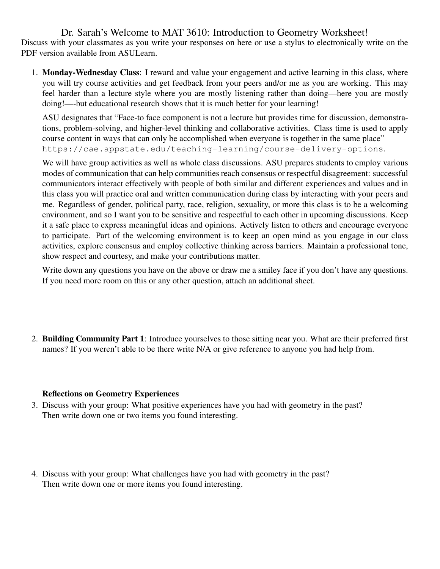Dr. Sarah's Welcome to MAT 3610: Introduction to Geometry Worksheet! Discuss with your classmates as you write your responses on here or use a stylus to electronically write on the PDF version available from ASULearn.

1. Monday-Wednesday Class: I reward and value your engagement and active learning in this class, where you will try course activities and get feedback from your peers and/or me as you are working. This may feel harder than a lecture style where you are mostly listening rather than doing—here you are mostly doing!—-but educational research shows that it is much better for your learning!

ASU designates that "Face-to face component is not a lecture but provides time for discussion, demonstrations, problem-solving, and higher-level thinking and collaborative activities. Class time is used to apply course content in ways that can only be accomplished when everyone is together in the same place" https://cae.appstate.edu/teaching-learning/course-delivery-options.

We will have group activities as well as whole class discussions. ASU prepares students to employ various modes of communication that can help communities reach consensus or respectful disagreement: successful communicators interact effectively with people of both similar and different experiences and values and in this class you will practice oral and written communication during class by interacting with your peers and me. Regardless of gender, political party, race, religion, sexuality, or more this class is to be a welcoming environment, and so I want you to be sensitive and respectful to each other in upcoming discussions. Keep it a safe place to express meaningful ideas and opinions. Actively listen to others and encourage everyone to participate. Part of the welcoming environment is to keep an open mind as you engage in our class activities, explore consensus and employ collective thinking across barriers. Maintain a professional tone, show respect and courtesy, and make your contributions matter.

Write down any questions you have on the above or draw me a smiley face if you don't have any questions. If you need more room on this or any other question, attach an additional sheet.

2. Building Community Part 1: Introduce yourselves to those sitting near you. What are their preferred first names? If you weren't able to be there write N/A or give reference to anyone you had help from.

## Reflections on Geometry Experiences

- 3. Discuss with your group: What positive experiences have you had with geometry in the past? Then write down one or two items you found interesting.
- 4. Discuss with your group: What challenges have you had with geometry in the past? Then write down one or more items you found interesting.